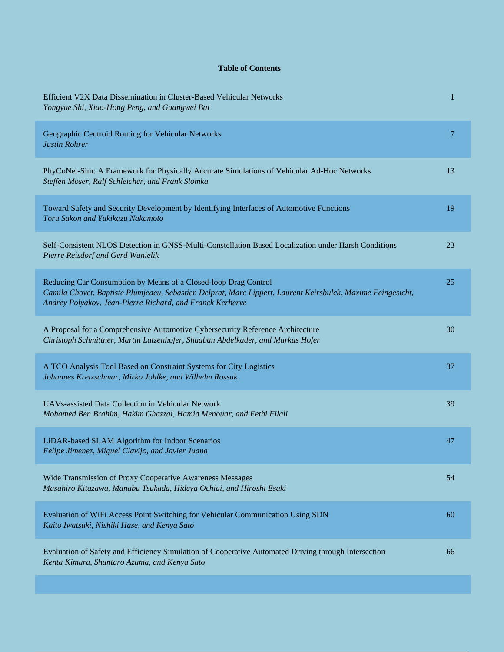## **Table of Contents**

| Efficient V2X Data Dissemination in Cluster-Based Vehicular Networks<br>Yongyue Shi, Xiao-Hong Peng, and Guangwei Bai                                                                                                                       | 1  |
|---------------------------------------------------------------------------------------------------------------------------------------------------------------------------------------------------------------------------------------------|----|
| Geographic Centroid Routing for Vehicular Networks<br><b>Justin Rohrer</b>                                                                                                                                                                  | 7  |
| PhyCoNet-Sim: A Framework for Physically Accurate Simulations of Vehicular Ad-Hoc Networks<br>Steffen Moser, Ralf Schleicher, and Frank Slomka                                                                                              | 13 |
| Toward Safety and Security Development by Identifying Interfaces of Automotive Functions<br>Toru Sakon and Yukikazu Nakamoto                                                                                                                | 19 |
| Self-Consistent NLOS Detection in GNSS-Multi-Constellation Based Localization under Harsh Conditions<br>Pierre Reisdorf and Gerd Wanielik                                                                                                   | 23 |
| Reducing Car Consumption by Means of a Closed-loop Drag Control<br>Camila Chovet, Baptiste Plumjeaeu, Sebastien Delprat, Marc Lippert, Laurent Keirsbulck, Maxime Feingesicht,<br>Andrey Polyakov, Jean-Pierre Richard, and Franck Kerherve | 25 |
| A Proposal for a Comprehensive Automotive Cybersecurity Reference Architecture<br>Christoph Schmittner, Martin Latzenhofer, Shaaban Abdelkader, and Markus Hofer                                                                            | 30 |
| A TCO Analysis Tool Based on Constraint Systems for City Logistics<br>Johannes Kretzschmar, Mirko Johlke, and Wilhelm Rossak                                                                                                                | 37 |
| UAV <sub>s</sub> -assisted Data Collection in Vehicular Network<br>Mohamed Ben Brahim, Hakim Ghazzai, Hamid Menouar, and Fethi Filali                                                                                                       | 39 |
| LiDAR-based SLAM Algorithm for Indoor Scenarios<br>Felipe Jimenez, Miguel Clavijo, and Javier Juana                                                                                                                                         | 47 |
| Wide Transmission of Proxy Cooperative Awareness Messages<br>Masahiro Kitazawa, Manabu Tsukada, Hideya Ochiai, and Hiroshi Esaki                                                                                                            | 54 |
| Evaluation of WiFi Access Point Switching for Vehicular Communication Using SDN<br>Kaito Iwatsuki, Nishiki Hase, and Kenya Sato                                                                                                             | 60 |
| Evaluation of Safety and Efficiency Simulation of Cooperative Automated Driving through Intersection<br>Kenta Kimura, Shuntaro Azuma, and Kenya Sato                                                                                        | 66 |